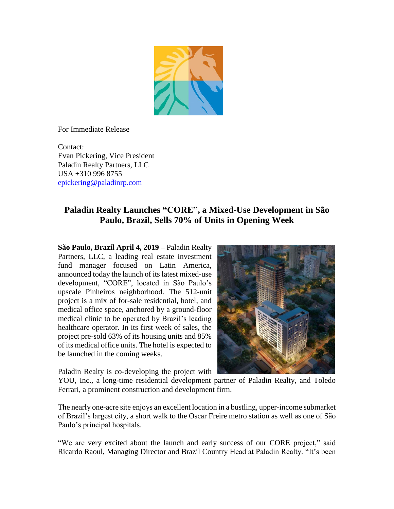

For Immediate Release

Contact: Evan Pickering, Vice President Paladin Realty Partners, LLC USA +310 996 8755 [epickering@paladinrp.com](mailto:fgortner@paladinrp.com)

## **Paladin Realty Launches "CORE", a Mixed-Use Development in São Paulo, Brazil, Sells 70% of Units in Opening Week**

**São Paulo, Brazil April 4, 2019 –** Paladin Realty Partners, LLC, a leading real estate investment fund manager focused on Latin America, announced today the launch of its latest mixed-use development, "CORE", located in São Paulo's upscale Pinheiros neighborhood. The 512-unit project is a mix of for-sale residential, hotel, and medical office space, anchored by a ground-floor medical clinic to be operated by Brazil's leading healthcare operator. In its first week of sales, the project pre-sold 63% of its housing units and 85% of its medical office units. The hotel is expected to be launched in the coming weeks.



Paladin Realty is co-developing the project with

YOU, Inc., a long-time residential development partner of Paladin Realty, and Toledo Ferrari, a prominent construction and development firm.

The nearly one-acre site enjoys an excellent location in a bustling, upper-income submarket of Brazil's largest city, a short walk to the Oscar Freire metro station as well as one of São Paulo's principal hospitals.

"We are very excited about the launch and early success of our CORE project," said Ricardo Raoul, Managing Director and Brazil Country Head at Paladin Realty. "It's been